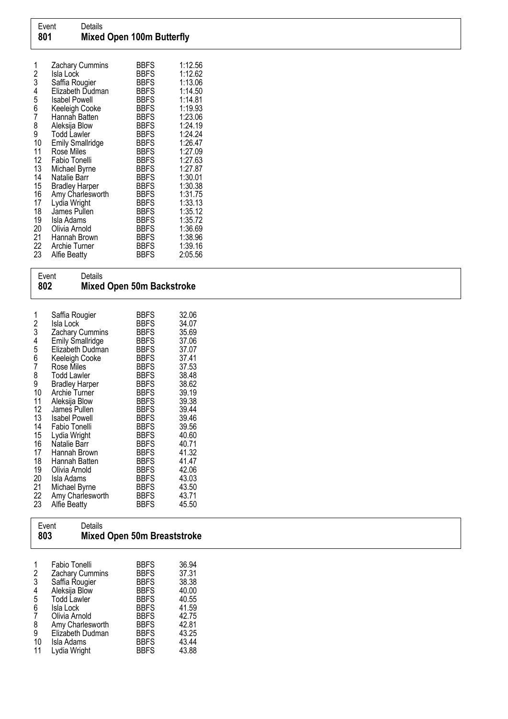| 1<br>2 | Zachary Cummins<br>Isla Lock      | <b>BBFS</b><br><b>BBFS</b> | 1:12.56<br>1:12.62 |
|--------|-----------------------------------|----------------------------|--------------------|
| 3      | Saffia Rougier                    | <b>BBFS</b>                | 1:13.06<br>1:14.50 |
| 4<br>5 | Elizabeth Dudman<br>Isabel Powell | <b>BBFS</b><br><b>BBFS</b> | 1:14.81            |
| 6      | Keeleigh Cooke                    | <b>BBFS</b>                | 1:19.93            |
| 7      | Hannah Batten                     | <b>BBFS</b>                | 1:23.06            |
| 8      | Aleksija Blow                     | <b>BBFS</b>                | 1:24.19            |
| 9      | <b>Todd Lawler</b>                | <b>BBFS</b>                | 1:24.24            |
| 10     | <b>Emily Smallridge</b>           | <b>BBFS</b>                | 1:26.47            |
| 11     | Rose Miles                        | <b>BBFS</b>                | 1:27.09            |
| 12     | Fabio Tonelli                     | <b>BBFS</b>                | 1:27.63            |
| 13     | Michael Byrne                     | <b>BBFS</b>                | 1:27.87            |
| 14     | Natalie Barr                      | <b>BBFS</b>                | 1:30.01            |
| 15     | <b>Bradley Harper</b>             | <b>BBFS</b>                | 1:30.38            |
| 16     | Amy Charlesworth                  | <b>BBFS</b>                | 1:31.75            |
| 17     | Lydia Wright                      | <b>BBFS</b>                | 1:33.13            |
| 18     | James Pullen                      | <b>BBFS</b>                | 1:35.12            |
| 19     | Isla Adams                        | <b>BBFS</b>                | 1:35.72            |
| 20     | Olivia Arnold                     | <b>BBFS</b>                | 1:36.69            |
| 21     | Hannah Brown                      | <b>BBFS</b>                | 1:38.96            |
| 22     | Archie Turner                     | <b>BBFS</b>                | 1:39.16            |
| 23     | Alfie Beatty                      | <b>BBFS</b>                | 2:05.56            |

| 802                                                                                         | Event<br>Details                                                                                                                                                                                                                                                                                                                                                                                                    | Mixed Open 50m Backstroke                                                                                                                                                                                                                                                                                                              |                                                                                                                                                                                                    |  |
|---------------------------------------------------------------------------------------------|---------------------------------------------------------------------------------------------------------------------------------------------------------------------------------------------------------------------------------------------------------------------------------------------------------------------------------------------------------------------------------------------------------------------|----------------------------------------------------------------------------------------------------------------------------------------------------------------------------------------------------------------------------------------------------------------------------------------------------------------------------------------|----------------------------------------------------------------------------------------------------------------------------------------------------------------------------------------------------|--|
| 1<br>23456789<br>10<br>11<br>12<br>13<br>14<br>15<br>16<br>17<br>18<br>19<br>20<br>21<br>22 | Saffia Rougier<br>Isla Lock<br><b>Zachary Cummins</b><br>Emily Smallridge<br>Elizabeth Dudman<br>Keeleigh Cooke<br>Rose Miles<br><b>Todd Lawler</b><br><b>Bradley Harper</b><br><b>Archie Turner</b><br>Aleksija Blow<br>James Pullen<br><b>Isabel Powell</b><br>Fabio Tonelli<br>Lydia Wright<br>Natalie Barr<br>Hannah Brown<br>Hannah Batten<br>Olivia Arnold<br>Isla Adams<br>Michael Byrne<br>Amy Charlesworth | <b>BBFS</b><br><b>BBFS</b><br><b>BBFS</b><br><b>BBFS</b><br><b>BBFS</b><br><b>BBFS</b><br><b>BBFS</b><br><b>BBFS</b><br><b>BBFS</b><br><b>BBFS</b><br><b>BBFS</b><br><b>BBFS</b><br><b>BBFS</b><br><b>BBFS</b><br><b>BBFS</b><br><b>BBFS</b><br><b>BBFS</b><br><b>BBFS</b><br><b>BBFS</b><br><b>BBFS</b><br><b>BBFS</b><br><b>BBFS</b> | 32.06<br>34.07<br>35.69<br>37.06<br>37.07<br>37.41<br>37.53<br>38.48<br>38.62<br>39.19<br>39.38<br>39.44<br>39.46<br>39.56<br>40.60<br>40.71<br>41.32<br>41.47<br>42.06<br>43.03<br>43.50<br>43.71 |  |
| 23                                                                                          | <b>Alfie Beatty</b>                                                                                                                                                                                                                                                                                                                                                                                                 | BBFS                                                                                                                                                                                                                                                                                                                                   | 45.50                                                                                                                                                                                              |  |

| Event | Details                            |
|-------|------------------------------------|
| 803   | <b>Mixed Open 50m Breaststroke</b> |

| 1              | Fabio Tonelli      | <b>BBFS</b> | 36.94 |
|----------------|--------------------|-------------|-------|
| 2              | Zachary Cummins    | <b>BBFS</b> | 37.31 |
| 3              | Saffia Rougier     | <b>BBFS</b> | 38.38 |
| $\overline{4}$ | Aleksija Blow      | <b>BBFS</b> | 40.00 |
| 5              | <b>Todd Lawler</b> | <b>BBFS</b> | 40.55 |
| 6              | Isla Lock          | <b>BBFS</b> | 41.59 |
| 7              | Olivia Arnold      | <b>BBFS</b> | 42.75 |
| 8              | Amy Charlesworth   | <b>BBFS</b> | 42.81 |
| 9              | Elizabeth Dudman   | <b>BBFS</b> | 43.25 |
| 10             | Isla Adams         | <b>BBFS</b> | 43.44 |
| 11             | Lydia Wright       | <b>BBFS</b> | 43.88 |